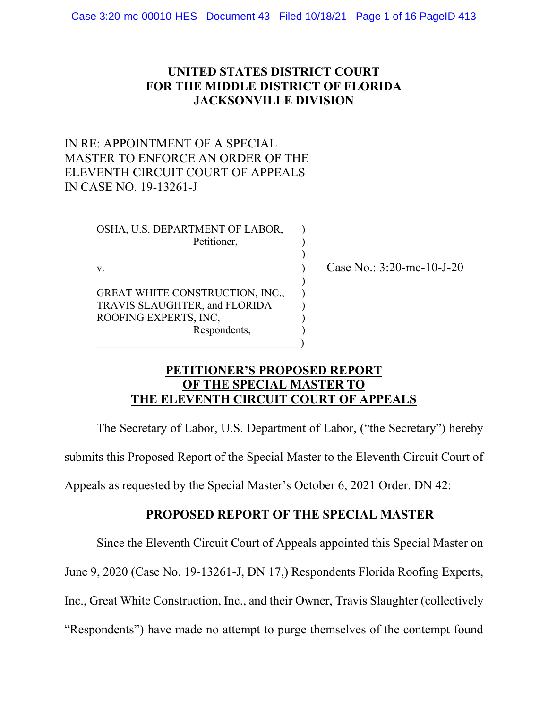## **UNITED STATES DISTRICT COURT FOR THE MIDDLE DISTRICT OF FLORIDA JACKSONVILLE DIVISION**

# IN RE: APPOINTMENT OF A SPECIAL MASTER TO ENFORCE AN ORDER OF THE ELEVENTH CIRCUIT COURT OF APPEALS IN CASE NO. 19-13261-J

OSHA, U.S. DEPARTMENT OF LABOR, ) Petitioner,

GREAT WHITE CONSTRUCTION, INC., TRAVIS SLAUGHTER, and FLORIDA ) ROOFING EXPERTS, INC, ) Respondents, )

 $\hspace{.5em}$   $\hspace{.5em}$   $\hspace{.5em}$   $\hspace{.5em}$   $\hspace{.5em}$   $\hspace{.5em}$   $\hspace{.5em}$   $\hspace{.5em}$   $\hspace{.5em}$   $\hspace{.5em}$   $\hspace{.5em}$   $\hspace{.5em}$   $\hspace{.5em}$   $\hspace{.5em}$   $\hspace{.5em}$   $\hspace{.5em}$   $\hspace{.5em}$   $\hspace{.5em}$   $\hspace{.5em}$   $\hspace{.5em}$ 

v. ) Case No.: 3:20-mc-10-J-20

## **PETITIONER'S PROPOSED REPORT OF THE SPECIAL MASTER TO THE ELEVENTH CIRCUIT COURT OF APPEALS**

The Secretary of Labor, U.S. Department of Labor, ("the Secretary") hereby

)

)

submits this Proposed Report of the Special Master to the Eleventh Circuit Court of

Appeals as requested by the Special Master's October 6, 2021 Order. DN 42:

## **PROPOSED REPORT OF THE SPECIAL MASTER**

Since the Eleventh Circuit Court of Appeals appointed this Special Master on

June 9, 2020 (Case No. 19-13261-J, DN 17,) Respondents Florida Roofing Experts,

Inc., Great White Construction, Inc., and their Owner, Travis Slaughter (collectively

"Respondents") have made no attempt to purge themselves of the contempt found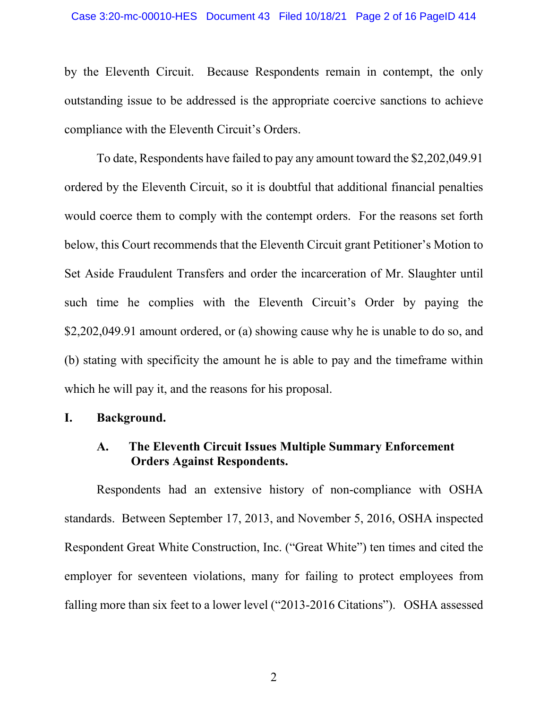by the Eleventh Circuit. Because Respondents remain in contempt, the only outstanding issue to be addressed is the appropriate coercive sanctions to achieve compliance with the Eleventh Circuit's Orders.

To date, Respondents have failed to pay any amount toward the \$2,202,049.91 ordered by the Eleventh Circuit, so it is doubtful that additional financial penalties would coerce them to comply with the contempt orders. For the reasons set forth below, this Court recommends that the Eleventh Circuit grant Petitioner's Motion to Set Aside Fraudulent Transfers and order the incarceration of Mr. Slaughter until such time he complies with the Eleventh Circuit's Order by paying the \$2,202,049.91 amount ordered, or (a) showing cause why he is unable to do so, and (b) stating with specificity the amount he is able to pay and the timeframe within which he will pay it, and the reasons for his proposal.

### **I. Background.**

# **A. The Eleventh Circuit Issues Multiple Summary Enforcement Orders Against Respondents.**

Respondents had an extensive history of non-compliance with OSHA standards. Between September 17, 2013, and November 5, 2016, OSHA inspected Respondent Great White Construction, Inc. ("Great White") ten times and cited the employer for seventeen violations, many for failing to protect employees from falling more than six feet to a lower level ("2013-2016 Citations"). OSHA assessed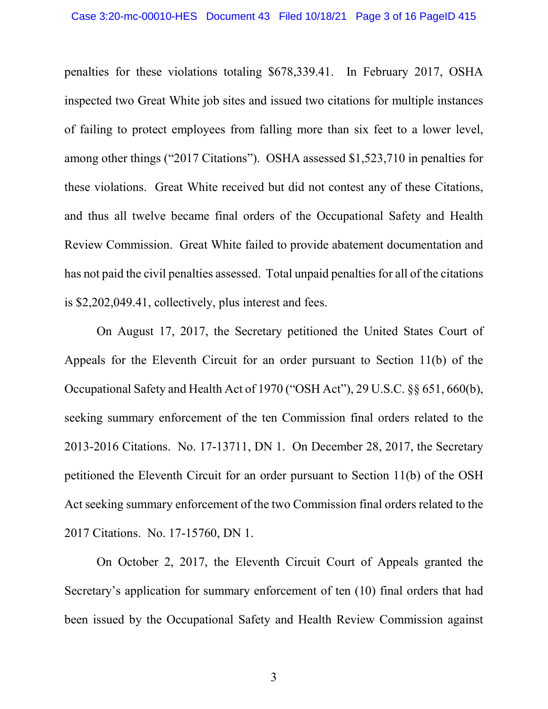penalties for these violations totaling \$678,339.41. In February 2017, OSHA inspected two Great White job sites and issued two citations for multiple instances of failing to protect employees from falling more than six feet to a lower level, among other things ("2017 Citations"). OSHA assessed \$1,523,710 in penalties for these violations. Great White received but did not contest any of these Citations, and thus all twelve became final orders of the Occupational Safety and Health Review Commission. Great White failed to provide abatement documentation and has not paid the civil penalties assessed. Total unpaid penalties for all of the citations is \$2,202,049.41, collectively, plus interest and fees.

On August 17, 2017, the Secretary petitioned the United States Court of Appeals for the Eleventh Circuit for an order pursuant to Section 11(b) of the Occupational Safety and Health Act of 1970 ("OSH Act"), 29 U.S.C. §§ 651, 660(b), seeking summary enforcement of the ten Commission final orders related to the 2013-2016 Citations. No. 17-13711, DN 1. On December 28, 2017, the Secretary petitioned the Eleventh Circuit for an order pursuant to Section 11(b) of the OSH Act seeking summary enforcement of the two Commission final orders related to the 2017 Citations. No. 17-15760, DN 1.

On October 2, 2017, the Eleventh Circuit Court of Appeals granted the Secretary's application for summary enforcement of ten (10) final orders that had been issued by the Occupational Safety and Health Review Commission against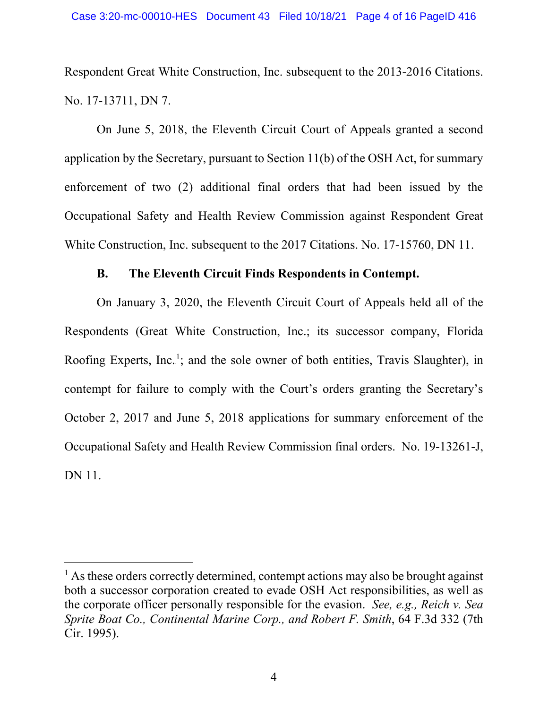Respondent Great White Construction, Inc. subsequent to the 2013-2016 Citations. No. 17-13711, DN 7.

On June 5, 2018, the Eleventh Circuit Court of Appeals granted a second application by the Secretary, pursuant to Section 11(b) of the OSH Act, for summary enforcement of two (2) additional final orders that had been issued by the Occupational Safety and Health Review Commission against Respondent Great White Construction, Inc. subsequent to the 2017 Citations. No. 17-15760, DN 11.

## **B. The Eleventh Circuit Finds Respondents in Contempt.**

On January 3, 2020, the Eleventh Circuit Court of Appeals held all of the Respondents (Great White Construction, Inc.; its successor company, Florida Roofing Experts, Inc.<sup>1</sup>; and the sole owner of both entities, Travis Slaughter), in contempt for failure to comply with the Court's orders granting the Secretary's October 2, 2017 and June 5, 2018 applications for summary enforcement of the Occupational Safety and Health Review Commission final orders. No. 19-13261-J, DN 11.

 $\overline{a}$ 

 $<sup>1</sup>$  As these orders correctly determined, contempt actions may also be brought against</sup> both a successor corporation created to evade OSH Act responsibilities, as well as the corporate officer personally responsible for the evasion. *See, e.g., Reich v. Sea Sprite Boat Co., Continental Marine Corp., and Robert F. Smith*, 64 F.3d 332 (7th Cir. 1995).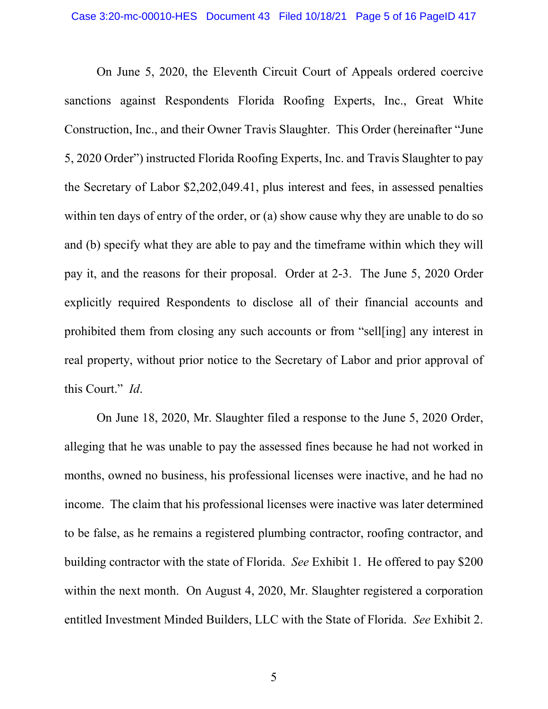On June 5, 2020, the Eleventh Circuit Court of Appeals ordered coercive sanctions against Respondents Florida Roofing Experts, Inc., Great White Construction, Inc., and their Owner Travis Slaughter. This Order (hereinafter "June 5, 2020 Order") instructed Florida Roofing Experts, Inc. and Travis Slaughter to pay the Secretary of Labor \$2,202,049.41, plus interest and fees, in assessed penalties within ten days of entry of the order, or (a) show cause why they are unable to do so and (b) specify what they are able to pay and the timeframe within which they will pay it, and the reasons for their proposal. Order at 2-3. The June 5, 2020 Order explicitly required Respondents to disclose all of their financial accounts and prohibited them from closing any such accounts or from "sell[ing] any interest in real property, without prior notice to the Secretary of Labor and prior approval of this Court." *Id*.

On June 18, 2020, Mr. Slaughter filed a response to the June 5, 2020 Order, alleging that he was unable to pay the assessed fines because he had not worked in months, owned no business, his professional licenses were inactive, and he had no income. The claim that his professional licenses were inactive was later determined to be false, as he remains a registered plumbing contractor, roofing contractor, and building contractor with the state of Florida. *See* Exhibit 1. He offered to pay \$200 within the next month. On August 4, 2020, Mr. Slaughter registered a corporation entitled Investment Minded Builders, LLC with the State of Florida. *See* Exhibit 2.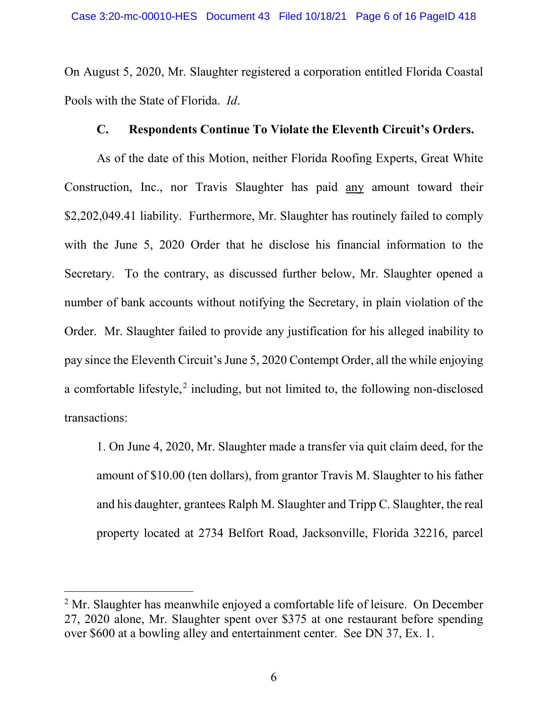On August 5, 2020, Mr. Slaughter registered a corporation entitled Florida Coastal Pools with the State of Florida. *Id*.

## **C. Respondents Continue To Violate the Eleventh Circuit's Orders.**

As of the date of this Motion, neither Florida Roofing Experts, Great White Construction, Inc., nor Travis Slaughter has paid any amount toward their \$2,202,049.41 liability. Furthermore, Mr. Slaughter has routinely failed to comply with the June 5, 2020 Order that he disclose his financial information to the Secretary. To the contrary, as discussed further below, Mr. Slaughter opened a number of bank accounts without notifying the Secretary, in plain violation of the Order. Mr. Slaughter failed to provide any justification for his alleged inability to pay since the Eleventh Circuit's June 5, 2020 Contempt Order, all the while enjoying a comfortable lifestyle,<sup>2</sup> including, but not limited to, the following non-disclosed transactions:

1. On June 4, 2020, Mr. Slaughter made a transfer via quit claim deed, for the amount of \$10.00 (ten dollars), from grantor Travis M. Slaughter to his father and his daughter, grantees Ralph M. Slaughter and Tripp C. Slaughter, the real property located at 2734 Belfort Road, Jacksonville, Florida 32216, parcel

 $\overline{a}$ 

<sup>&</sup>lt;sup>2</sup> Mr. Slaughter has meanwhile enjoyed a comfortable life of leisure. On December 27, 2020 alone, Mr. Slaughter spent over \$375 at one restaurant before spending over \$600 at a bowling alley and entertainment center. See DN 37, Ex. 1.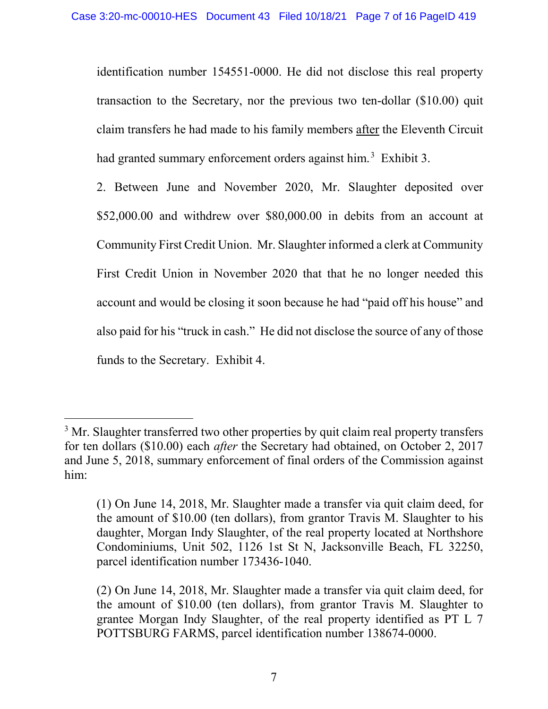identification number 154551-0000. He did not disclose this real property transaction to the Secretary, nor the previous two ten-dollar (\$10.00) quit claim transfers he had made to his family members after the Eleventh Circuit had granted summary enforcement orders against him.<sup>3</sup> Exhibit 3.

2. Between June and November 2020, Mr. Slaughter deposited over \$52,000.00 and withdrew over \$80,000.00 in debits from an account at Community First Credit Union. Mr. Slaughter informed a clerk at Community First Credit Union in November 2020 that that he no longer needed this account and would be closing it soon because he had "paid off his house" and also paid for his "truck in cash." He did not disclose the source of any of those funds to the Secretary. Exhibit 4.

 $\overline{a}$  $3$  Mr. Slaughter transferred two other properties by quit claim real property transfers for ten dollars (\$10.00) each *after* the Secretary had obtained, on October 2, 2017 and June 5, 2018, summary enforcement of final orders of the Commission against him:

<sup>(1)</sup> On June 14, 2018, Mr. Slaughter made a transfer via quit claim deed, for the amount of \$10.00 (ten dollars), from grantor Travis M. Slaughter to his daughter, Morgan Indy Slaughter, of the real property located at Northshore Condominiums, Unit 502, 1126 1st St N, Jacksonville Beach, FL 32250, parcel identification number 173436-1040.

<sup>(2)</sup> On June 14, 2018, Mr. Slaughter made a transfer via quit claim deed, for the amount of \$10.00 (ten dollars), from grantor Travis M. Slaughter to grantee Morgan Indy Slaughter, of the real property identified as PT L 7 POTTSBURG FARMS, parcel identification number 138674-0000.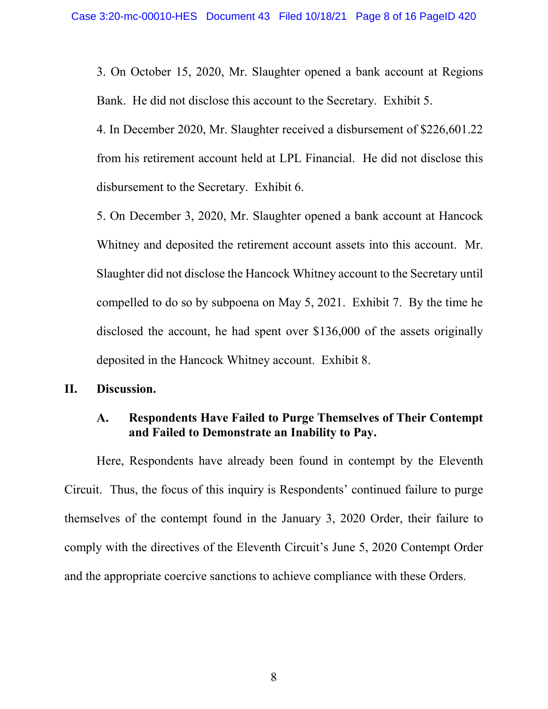3. On October 15, 2020, Mr. Slaughter opened a bank account at Regions Bank. He did not disclose this account to the Secretary. Exhibit 5.

4. In December 2020, Mr. Slaughter received a disbursement of \$226,601.22 from his retirement account held at LPL Financial. He did not disclose this disbursement to the Secretary. Exhibit 6.

5. On December 3, 2020, Mr. Slaughter opened a bank account at Hancock Whitney and deposited the retirement account assets into this account. Mr. Slaughter did not disclose the Hancock Whitney account to the Secretary until compelled to do so by subpoena on May 5, 2021. Exhibit 7. By the time he disclosed the account, he had spent over \$136,000 of the assets originally deposited in the Hancock Whitney account. Exhibit 8.

#### **II. Discussion.**

# **A. Respondents Have Failed to Purge Themselves of Their Contempt and Failed to Demonstrate an Inability to Pay.**

Here, Respondents have already been found in contempt by the Eleventh Circuit. Thus, the focus of this inquiry is Respondents' continued failure to purge themselves of the contempt found in the January 3, 2020 Order, their failure to comply with the directives of the Eleventh Circuit's June 5, 2020 Contempt Order and the appropriate coercive sanctions to achieve compliance with these Orders.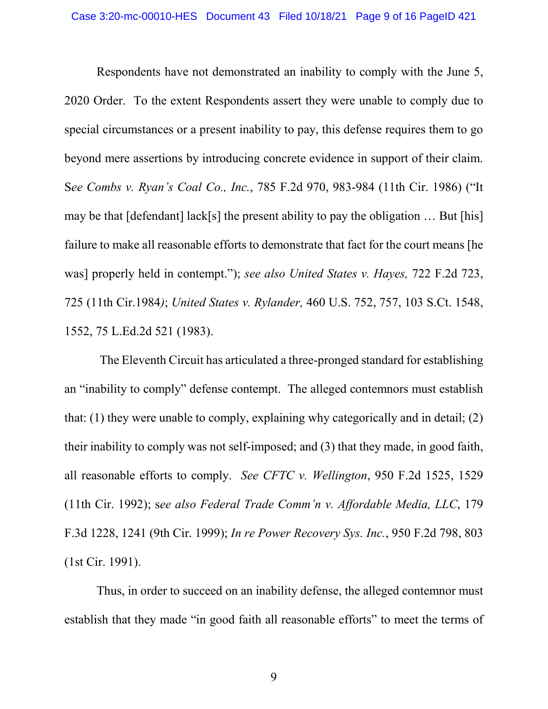Respondents have not demonstrated an inability to comply with the June 5, 2020 Order. To the extent Respondents assert they were unable to comply due to special circumstances or a present inability to pay, this defense requires them to go beyond mere assertions by introducing concrete evidence in support of their claim. S*ee Combs v. Ryan's Coal Co., Inc.*, 785 F.2d 970, 983-984 (11th Cir. 1986) ("It may be that  $\lceil \text{defendant} \rceil$  lack $\lceil s \rceil$  the present ability to pay the obligation  $\ldots$  But  $\lceil \text{his} \rceil$ failure to make all reasonable efforts to demonstrate that fact for the court means [he was] properly held in contempt."); *see also United States v. Hayes,* 722 F.2d 723, 725 (11th Cir.1984*)*; *United States v. Rylander,* 460 U.S. 752, 757, 103 S.Ct. 1548, 1552, 75 L.Ed.2d 521 (1983).

The Eleventh Circuit has articulated a three-pronged standard for establishing an "inability to comply" defense contempt. The alleged contemnors must establish that: (1) they were unable to comply, explaining why categorically and in detail; (2) their inability to comply was not self-imposed; and (3) that they made, in good faith, all reasonable efforts to comply. *See CFTC v. Wellington*, 950 F.2d 1525, 1529 (11th Cir. 1992); s*ee also Federal Trade Comm'n v. Affordable Media, LLC*, 179 F.3d 1228, 1241 (9th Cir. 1999); *In re Power Recovery Sys. Inc.*, 950 F.2d 798, 803 (1st Cir. 1991).

Thus, in order to succeed on an inability defense, the alleged contemnor must establish that they made "in good faith all reasonable efforts" to meet the terms of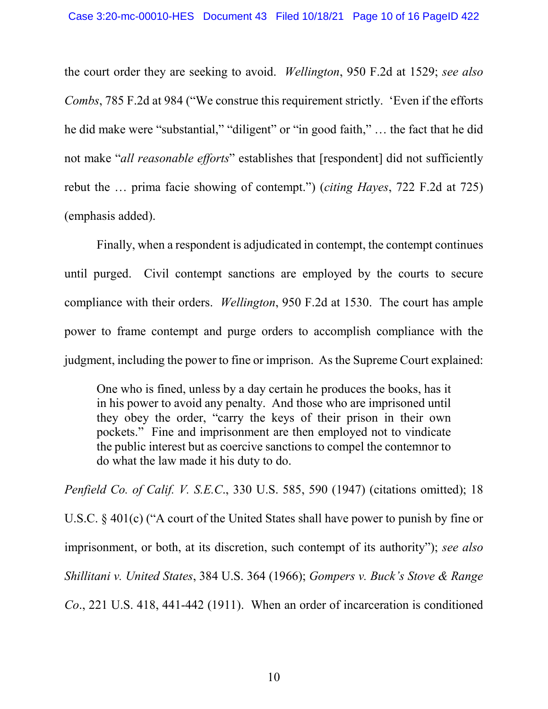the court order they are seeking to avoid. *Wellington*, 950 F.2d at 1529; *see also Combs*, 785 F.2d at 984 ("We construe this requirement strictly. 'Even if the efforts he did make were "substantial," "diligent" or "in good faith," … the fact that he did not make "*all reasonable efforts*" establishes that [respondent] did not sufficiently rebut the … prima facie showing of contempt.") (*citing Hayes*, 722 F.2d at 725) (emphasis added).

Finally, when a respondent is adjudicated in contempt, the contempt continues until purged. Civil contempt sanctions are employed by the courts to secure compliance with their orders. *Wellington*, 950 F.2d at 1530. The court has ample power to frame contempt and purge orders to accomplish compliance with the judgment, including the power to fine or imprison. As the Supreme Court explained:

One who is fined, unless by a day certain he produces the books, has it in his power to avoid any penalty. And those who are imprisoned until they obey the order, "carry the keys of their prison in their own pockets." Fine and imprisonment are then employed not to vindicate the public interest but as coercive sanctions to compel the contemnor to do what the law made it his duty to do.

*Penfield Co. of Calif. V. S.E.C*., 330 U.S. 585, 590 (1947) (citations omitted); 18 U.S.C. § 401(c) ("A court of the United States shall have power to punish by fine or imprisonment, or both, at its discretion, such contempt of its authority"); *see also Shillitani v. United States*, 384 U.S. 364 (1966); *Gompers v. Buck's Stove & Range Co*., 221 U.S. 418, 441-442 (1911). When an order of incarceration is conditioned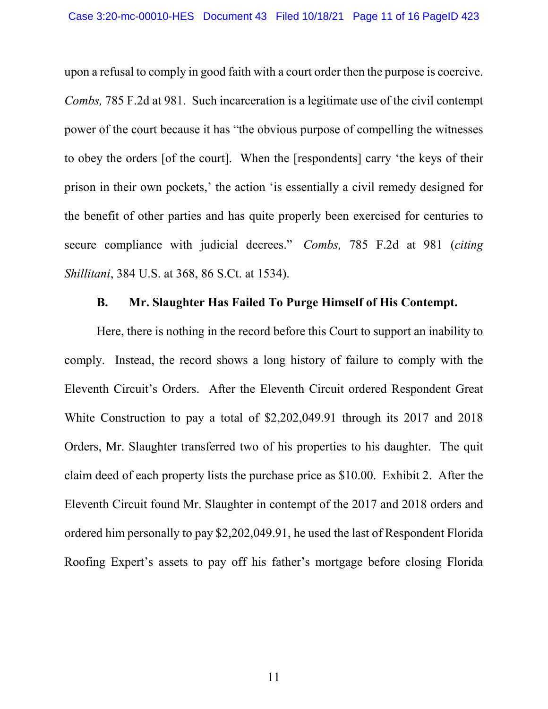upon a refusal to comply in good faith with a court order then the purpose is coercive. *Combs,* 785 F.2d at 981. Such incarceration is a legitimate use of the civil contempt power of the court because it has "the obvious purpose of compelling the witnesses to obey the orders [of the court]. When the [respondents] carry 'the keys of their prison in their own pockets,' the action 'is essentially a civil remedy designed for the benefit of other parties and has quite properly been exercised for centuries to secure compliance with judicial decrees." *Combs,* 785 F.2d at 981 (*citing Shillitani*, 384 U.S. at 368, 86 S.Ct. at 1534).

## **B. Mr. Slaughter Has Failed To Purge Himself of His Contempt.**

Here, there is nothing in the record before this Court to support an inability to comply. Instead, the record shows a long history of failure to comply with the Eleventh Circuit's Orders. After the Eleventh Circuit ordered Respondent Great White Construction to pay a total of \$2,202,049.91 through its 2017 and 2018 Orders, Mr. Slaughter transferred two of his properties to his daughter. The quit claim deed of each property lists the purchase price as \$10.00. Exhibit 2. After the Eleventh Circuit found Mr. Slaughter in contempt of the 2017 and 2018 orders and ordered him personally to pay \$2,202,049.91, he used the last of Respondent Florida Roofing Expert's assets to pay off his father's mortgage before closing Florida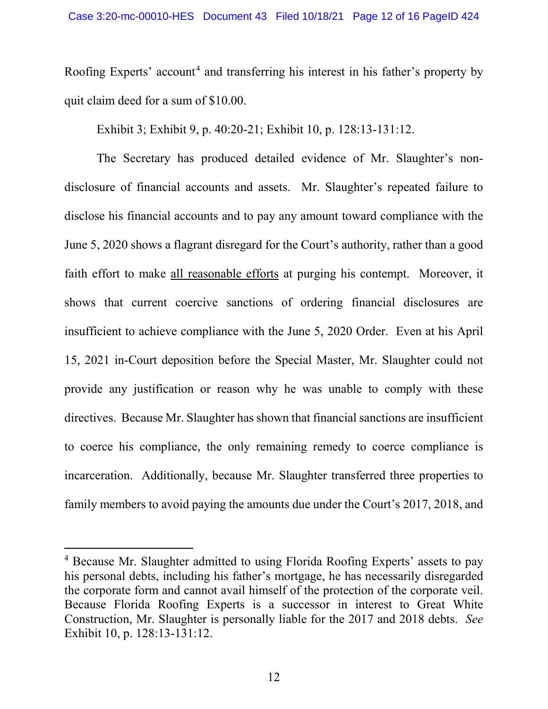Roofing Experts' account<sup>4</sup> and transferring his interest in his father's property by quit claim deed for a sum of \$10.00.

Exhibit 3; Exhibit 9, p. 40:20-21; Exhibit 10, p. 128:13-131:12.

The Secretary has produced detailed evidence of Mr. Slaughter's nondisclosure of financial accounts and assets. Mr. Slaughter's repeated failure to disclose his financial accounts and to pay any amount toward compliance with the June 5, 2020 shows a flagrant disregard for the Court's authority, rather than a good faith effort to make all reasonable efforts at purging his contempt. Moreover, it shows that current coercive sanctions of ordering financial disclosures are insufficient to achieve compliance with the June 5, 2020 Order. Even at his April 15, 2021 in-Court deposition before the Special Master, Mr. Slaughter could not provide any justification or reason why he was unable to comply with these directives. Because Mr. Slaughter has shown that financial sanctions are insufficient to coerce his compliance, the only remaining remedy to coerce compliance is incarceration. Additionally, because Mr. Slaughter transferred three properties to family members to avoid paying the amounts due under the Court's 2017, 2018, and

 $\overline{a}$ 

<sup>4</sup> Because Mr. Slaughter admitted to using Florida Roofing Experts' assets to pay his personal debts, including his father's mortgage, he has necessarily disregarded the corporate form and cannot avail himself of the protection of the corporate veil. Because Florida Roofing Experts is a successor in interest to Great White Construction, Mr. Slaughter is personally liable for the 2017 and 2018 debts. *See* Exhibit 10, p. 128:13-131:12.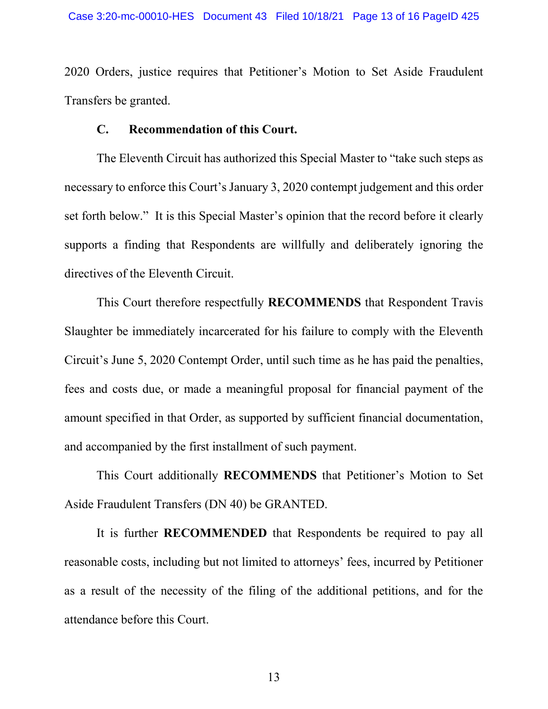2020 Orders, justice requires that Petitioner's Motion to Set Aside Fraudulent Transfers be granted.

#### **C. Recommendation of this Court.**

The Eleventh Circuit has authorized this Special Master to "take such steps as necessary to enforce this Court's January 3, 2020 contempt judgement and this order set forth below." It is this Special Master's opinion that the record before it clearly supports a finding that Respondents are willfully and deliberately ignoring the directives of the Eleventh Circuit.

This Court therefore respectfully **RECOMMENDS** that Respondent Travis Slaughter be immediately incarcerated for his failure to comply with the Eleventh Circuit's June 5, 2020 Contempt Order, until such time as he has paid the penalties, fees and costs due, or made a meaningful proposal for financial payment of the amount specified in that Order, as supported by sufficient financial documentation, and accompanied by the first installment of such payment.

This Court additionally **RECOMMENDS** that Petitioner's Motion to Set Aside Fraudulent Transfers (DN 40) be GRANTED.

It is further **RECOMMENDED** that Respondents be required to pay all reasonable costs, including but not limited to attorneys' fees, incurred by Petitioner as a result of the necessity of the filing of the additional petitions, and for the attendance before this Court.

13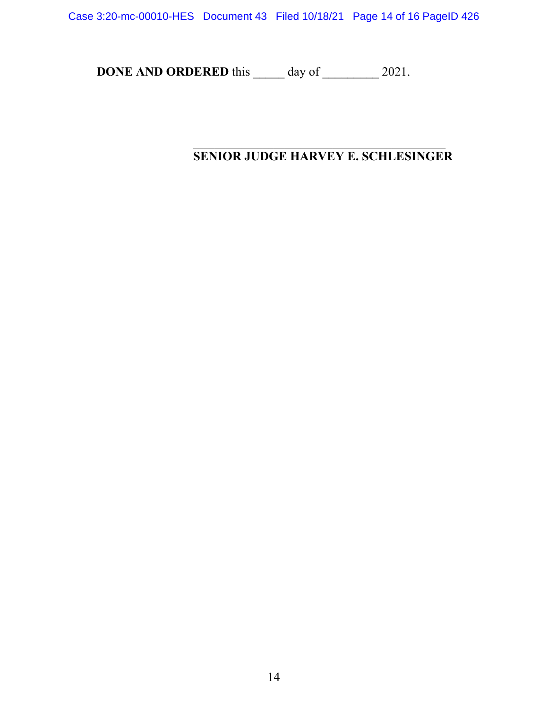Case 3:20-mc-00010-HES Document 43 Filed 10/18/21 Page 14 of 16 PageID 426

**DONE AND ORDERED** this \_\_\_\_\_ day of \_\_\_\_\_\_\_\_\_ 2021.

### $\mathcal{L}_\mathcal{L}$ **SENIOR JUDGE HARVEY E. SCHLESINGER**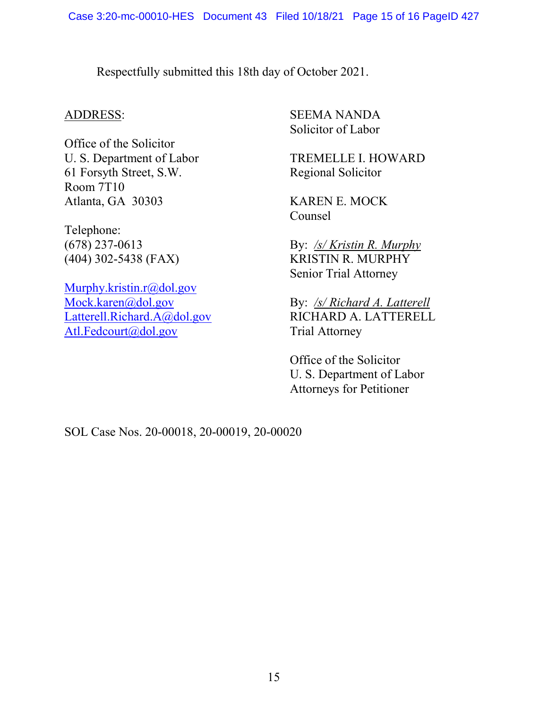Respectfully submitted this 18th day of October 2021.

Office of the Solicitor 61 Forsyth Street, S.W. Regional Solicitor Room 7T10 Atlanta, GA 30303 KAREN E. MOCK

Telephone:

[Murphy.kristin.r@dol.gov](mailto:Murphy.kristin.r@dol.gov)<br>Mock.karen@dol.gov [Latterell.Richard.A@dol.gov](mailto:Latterell.Richard.A@dol.gov) RICHARD A. LATTERELL [Atl.Fedcourt@dol.gov](mailto:Atl.Fedcourt@dol.gov) Trial Attorney

ADDRESS: SEEMA NANDA Solicitor of Labor

U. S. Department of Labor TREMELLE I. HOWARD

Counsel

(678) 237-0613 By: */s/ Kristin R. Murphy* (404) 302-5438 (FAX) KRISTIN R. MURPHY Senior Trial Attorney

By: /s/ Richard A. Latterell

Office of the Solicitor U. S. Department of Labor Attorneys for Petitioner

SOL Case Nos. 20-00018, 20-00019, 20-00020